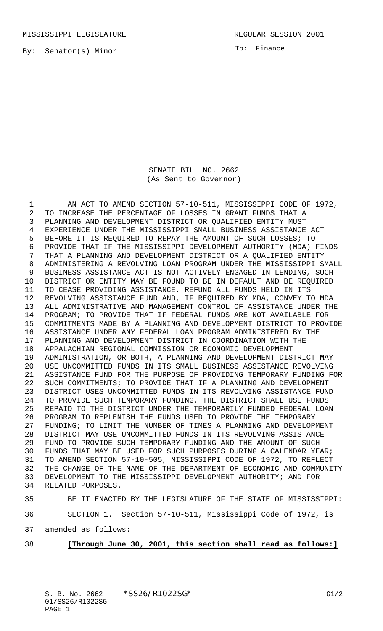MISSISSIPPI LEGISLATURE **REGULAR SESSION 2001** 

By: Senator(s) Minor

To: Finance

SENATE BILL NO. 2662 (As Sent to Governor)

1 AN ACT TO AMEND SECTION 57-10-511, MISSISSIPPI CODE OF 1972, TO INCREASE THE PERCENTAGE OF LOSSES IN GRANT FUNDS THAT A PLANNING AND DEVELOPMENT DISTRICT OR QUALIFIED ENTITY MUST EXPERIENCE UNDER THE MISSISSIPPI SMALL BUSINESS ASSISTANCE ACT BEFORE IT IS REQUIRED TO REPAY THE AMOUNT OF SUCH LOSSES; TO PROVIDE THAT IF THE MISSISSIPPI DEVELOPMENT AUTHORITY (MDA) FINDS THAT A PLANNING AND DEVELOPMENT DISTRICT OR A QUALIFIED ENTITY ADMINISTERING A REVOLVING LOAN PROGRAM UNDER THE MISSISSIPPI SMALL BUSINESS ASSISTANCE ACT IS NOT ACTIVELY ENGAGED IN LENDING, SUCH DISTRICT OR ENTITY MAY BE FOUND TO BE IN DEFAULT AND BE REQUIRED TO CEASE PROVIDING ASSISTANCE, REFUND ALL FUNDS HELD IN ITS REVOLVING ASSISTANCE FUND AND, IF REQUIRED BY MDA, CONVEY TO MDA ALL ADMINISTRATIVE AND MANAGEMENT CONTROL OF ASSISTANCE UNDER THE PROGRAM; TO PROVIDE THAT IF FEDERAL FUNDS ARE NOT AVAILABLE FOR COMMITMENTS MADE BY A PLANNING AND DEVELOPMENT DISTRICT TO PROVIDE ASSISTANCE UNDER ANY FEDERAL LOAN PROGRAM ADMINISTERED BY THE PLANNING AND DEVELOPMENT DISTRICT IN COORDINATION WITH THE APPALACHIAN REGIONAL COMMISSION OR ECONOMIC DEVELOPMENT ADMINISTRATION, OR BOTH, A PLANNING AND DEVELOPMENT DISTRICT MAY USE UNCOMMITTED FUNDS IN ITS SMALL BUSINESS ASSISTANCE REVOLVING ASSISTANCE FUND FOR THE PURPOSE OF PROVIDING TEMPORARY FUNDING FOR SUCH COMMITMENTS; TO PROVIDE THAT IF A PLANNING AND DEVELOPMENT DISTRICT USES UNCOMMITTED FUNDS IN ITS REVOLVING ASSISTANCE FUND TO PROVIDE SUCH TEMPORARY FUNDING, THE DISTRICT SHALL USE FUNDS REPAID TO THE DISTRICT UNDER THE TEMPORARILY FUNDED FEDERAL LOAN PROGRAM TO REPLENISH THE FUNDS USED TO PROVIDE THE TEMPORARY FUNDING; TO LIMIT THE NUMBER OF TIMES A PLANNING AND DEVELOPMENT DISTRICT MAY USE UNCOMMITTED FUNDS IN ITS REVOLVING ASSISTANCE FUND TO PROVIDE SUCH TEMPORARY FUNDING AND THE AMOUNT OF SUCH FUNDS THAT MAY BE USED FOR SUCH PURPOSES DURING A CALENDAR YEAR; TO AMEND SECTION 57-10-505, MISSISSIPPI CODE OF 1972, TO REFLECT THE CHANGE OF THE NAME OF THE DEPARTMENT OF ECONOMIC AND COMMUNITY DEVELOPMENT TO THE MISSISSIPPI DEVELOPMENT AUTHORITY; AND FOR RELATED PURPOSES.

BE IT ENACTED BY THE LEGISLATURE OF THE STATE OF MISSISSIPPI:

SECTION 1. Section 57-10-511, Mississippi Code of 1972, is

amended as follows:

## **[Through June 30, 2001, this section shall read as follows:]**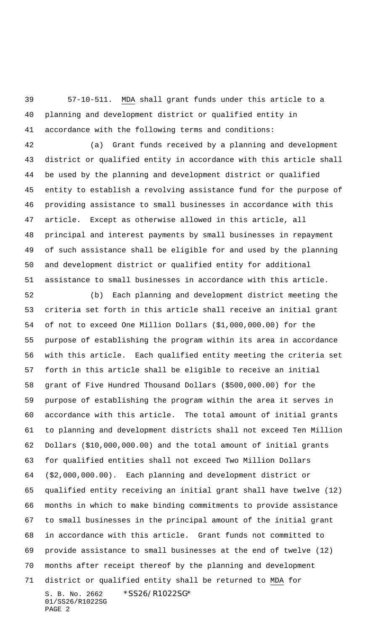57-10-511. MDA shall grant funds under this article to a planning and development district or qualified entity in accordance with the following terms and conditions:

 (a) Grant funds received by a planning and development district or qualified entity in accordance with this article shall be used by the planning and development district or qualified entity to establish a revolving assistance fund for the purpose of providing assistance to small businesses in accordance with this article. Except as otherwise allowed in this article, all principal and interest payments by small businesses in repayment of such assistance shall be eligible for and used by the planning and development district or qualified entity for additional assistance to small businesses in accordance with this article.

S. B. No. 2662 \*SS26/R1022SG\* 01/SS26/R1022SG PAGE 2 (b) Each planning and development district meeting the criteria set forth in this article shall receive an initial grant of not to exceed One Million Dollars (\$1,000,000.00) for the purpose of establishing the program within its area in accordance with this article. Each qualified entity meeting the criteria set forth in this article shall be eligible to receive an initial grant of Five Hundred Thousand Dollars (\$500,000.00) for the purpose of establishing the program within the area it serves in accordance with this article. The total amount of initial grants to planning and development districts shall not exceed Ten Million Dollars (\$10,000,000.00) and the total amount of initial grants for qualified entities shall not exceed Two Million Dollars (\$2,000,000.00). Each planning and development district or qualified entity receiving an initial grant shall have twelve (12) months in which to make binding commitments to provide assistance to small businesses in the principal amount of the initial grant in accordance with this article. Grant funds not committed to provide assistance to small businesses at the end of twelve (12) months after receipt thereof by the planning and development district or qualified entity shall be returned to MDA for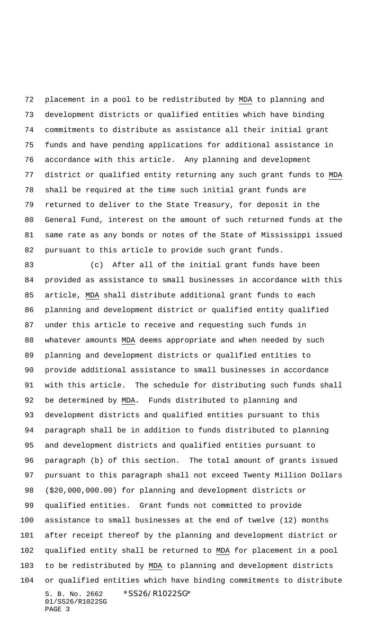placement in a pool to be redistributed by MDA to planning and development districts or qualified entities which have binding commitments to distribute as assistance all their initial grant funds and have pending applications for additional assistance in accordance with this article. Any planning and development district or qualified entity returning any such grant funds to MDA shall be required at the time such initial grant funds are returned to deliver to the State Treasury, for deposit in the General Fund, interest on the amount of such returned funds at the same rate as any bonds or notes of the State of Mississippi issued pursuant to this article to provide such grant funds.

S. B. No. 2662 \*SS26/R1022SG\* 01/SS26/R1022SG PAGE 3 (c) After all of the initial grant funds have been provided as assistance to small businesses in accordance with this article, MDA shall distribute additional grant funds to each planning and development district or qualified entity qualified under this article to receive and requesting such funds in whatever amounts MDA deems appropriate and when needed by such planning and development districts or qualified entities to provide additional assistance to small businesses in accordance with this article. The schedule for distributing such funds shall be determined by MDA. Funds distributed to planning and development districts and qualified entities pursuant to this paragraph shall be in addition to funds distributed to planning and development districts and qualified entities pursuant to paragraph (b) of this section. The total amount of grants issued pursuant to this paragraph shall not exceed Twenty Million Dollars (\$20,000,000.00) for planning and development districts or qualified entities. Grant funds not committed to provide assistance to small businesses at the end of twelve (12) months after receipt thereof by the planning and development district or qualified entity shall be returned to MDA for placement in a pool 103 to be redistributed by MDA to planning and development districts or qualified entities which have binding commitments to distribute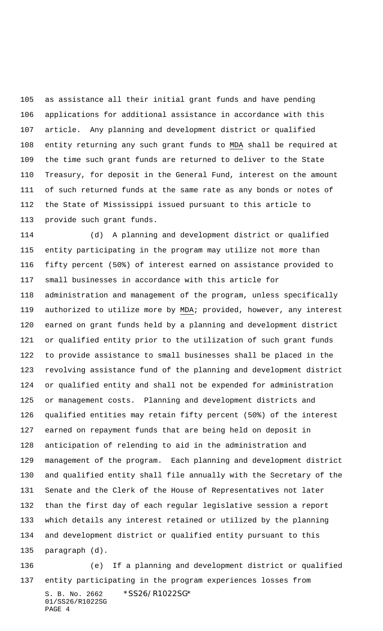as assistance all their initial grant funds and have pending applications for additional assistance in accordance with this article. Any planning and development district or qualified entity returning any such grant funds to MDA shall be required at the time such grant funds are returned to deliver to the State Treasury, for deposit in the General Fund, interest on the amount of such returned funds at the same rate as any bonds or notes of the State of Mississippi issued pursuant to this article to provide such grant funds.

 (d) A planning and development district or qualified entity participating in the program may utilize not more than fifty percent (50%) of interest earned on assistance provided to small businesses in accordance with this article for administration and management of the program, unless specifically 119 authorized to utilize more by MDA; provided, however, any interest earned on grant funds held by a planning and development district or qualified entity prior to the utilization of such grant funds to provide assistance to small businesses shall be placed in the revolving assistance fund of the planning and development district or qualified entity and shall not be expended for administration or management costs. Planning and development districts and qualified entities may retain fifty percent (50%) of the interest earned on repayment funds that are being held on deposit in anticipation of relending to aid in the administration and management of the program. Each planning and development district and qualified entity shall file annually with the Secretary of the Senate and the Clerk of the House of Representatives not later than the first day of each regular legislative session a report which details any interest retained or utilized by the planning and development district or qualified entity pursuant to this paragraph (d).

S. B. No. 2662 \*SS26/R1022SG\* 01/SS26/R1022SG PAGE 4 (e) If a planning and development district or qualified entity participating in the program experiences losses from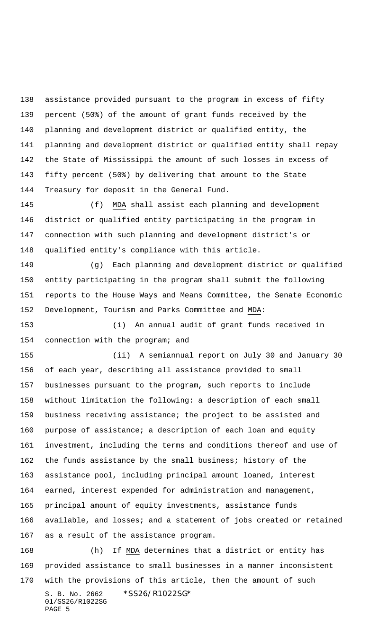assistance provided pursuant to the program in excess of fifty percent (50%) of the amount of grant funds received by the planning and development district or qualified entity, the planning and development district or qualified entity shall repay the State of Mississippi the amount of such losses in excess of fifty percent (50%) by delivering that amount to the State Treasury for deposit in the General Fund.

 (f) MDA shall assist each planning and development district or qualified entity participating in the program in connection with such planning and development district's or qualified entity's compliance with this article.

 (g) Each planning and development district or qualified entity participating in the program shall submit the following reports to the House Ways and Means Committee, the Senate Economic Development, Tourism and Parks Committee and MDA:

 (i) An annual audit of grant funds received in connection with the program; and

 (ii) A semiannual report on July 30 and January 30 of each year, describing all assistance provided to small businesses pursuant to the program, such reports to include without limitation the following: a description of each small business receiving assistance; the project to be assisted and purpose of assistance; a description of each loan and equity investment, including the terms and conditions thereof and use of the funds assistance by the small business; history of the assistance pool, including principal amount loaned, interest earned, interest expended for administration and management, principal amount of equity investments, assistance funds available, and losses; and a statement of jobs created or retained as a result of the assistance program.

S. B. No. 2662 \*SS26/R1022SG\* 01/SS26/R1022SG PAGE 5 (h) If MDA determines that a district or entity has provided assistance to small businesses in a manner inconsistent with the provisions of this article, then the amount of such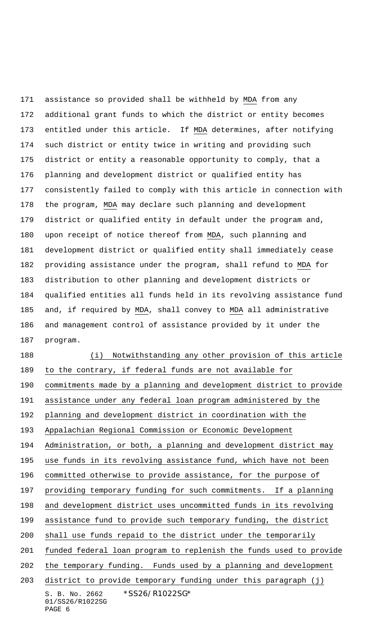assistance so provided shall be withheld by MDA from any additional grant funds to which the district or entity becomes entitled under this article. If MDA determines, after notifying such district or entity twice in writing and providing such district or entity a reasonable opportunity to comply, that a planning and development district or qualified entity has consistently failed to comply with this article in connection with the program, MDA may declare such planning and development district or qualified entity in default under the program and, upon receipt of notice thereof from MDA, such planning and development district or qualified entity shall immediately cease providing assistance under the program, shall refund to MDA for distribution to other planning and development districts or qualified entities all funds held in its revolving assistance fund and, if required by MDA, shall convey to MDA all administrative and management control of assistance provided by it under the program.

S. B. No. 2662 \*SS26/R1022SG\* 01/SS26/R1022SG PAGE 6 188 (i) Notwithstanding any other provision of this article to the contrary, if federal funds are not available for commitments made by a planning and development district to provide assistance under any federal loan program administered by the planning and development district in coordination with the Appalachian Regional Commission or Economic Development Administration, or both, a planning and development district may use funds in its revolving assistance fund, which have not been committed otherwise to provide assistance, for the purpose of providing temporary funding for such commitments. If a planning and development district uses uncommitted funds in its revolving assistance fund to provide such temporary funding, the district shall use funds repaid to the district under the temporarily funded federal loan program to replenish the funds used to provide the temporary funding. Funds used by a planning and development district to provide temporary funding under this paragraph (j)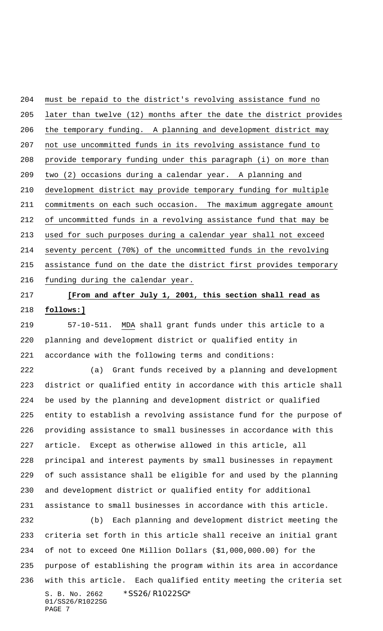must be repaid to the district's revolving assistance fund no later than twelve (12) months after the date the district provides the temporary funding. A planning and development district may not use uncommitted funds in its revolving assistance fund to provide temporary funding under this paragraph (i) on more than two (2) occasions during a calendar year. A planning and development district may provide temporary funding for multiple commitments on each such occasion. The maximum aggregate amount of uncommitted funds in a revolving assistance fund that may be used for such purposes during a calendar year shall not exceed seventy percent (70%) of the uncommitted funds in the revolving assistance fund on the date the district first provides temporary funding during the calendar year.

## **[From and after July 1, 2001, this section shall read as follows:]**

 57-10-511. MDA shall grant funds under this article to a planning and development district or qualified entity in accordance with the following terms and conditions:

 (a) Grant funds received by a planning and development district or qualified entity in accordance with this article shall be used by the planning and development district or qualified entity to establish a revolving assistance fund for the purpose of providing assistance to small businesses in accordance with this article. Except as otherwise allowed in this article, all principal and interest payments by small businesses in repayment of such assistance shall be eligible for and used by the planning and development district or qualified entity for additional assistance to small businesses in accordance with this article.

S. B. No. 2662 \*SS26/R1022SG\* 01/SS26/R1022SG PAGE 7 (b) Each planning and development district meeting the criteria set forth in this article shall receive an initial grant of not to exceed One Million Dollars (\$1,000,000.00) for the purpose of establishing the program within its area in accordance with this article. Each qualified entity meeting the criteria set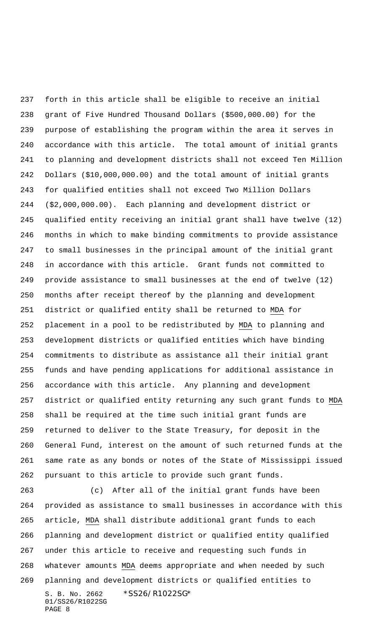forth in this article shall be eligible to receive an initial grant of Five Hundred Thousand Dollars (\$500,000.00) for the purpose of establishing the program within the area it serves in accordance with this article. The total amount of initial grants to planning and development districts shall not exceed Ten Million Dollars (\$10,000,000.00) and the total amount of initial grants for qualified entities shall not exceed Two Million Dollars (\$2,000,000.00). Each planning and development district or qualified entity receiving an initial grant shall have twelve (12) months in which to make binding commitments to provide assistance to small businesses in the principal amount of the initial grant in accordance with this article. Grant funds not committed to provide assistance to small businesses at the end of twelve (12) months after receipt thereof by the planning and development district or qualified entity shall be returned to MDA for placement in a pool to be redistributed by MDA to planning and development districts or qualified entities which have binding commitments to distribute as assistance all their initial grant funds and have pending applications for additional assistance in accordance with this article. Any planning and development district or qualified entity returning any such grant funds to MDA shall be required at the time such initial grant funds are returned to deliver to the State Treasury, for deposit in the General Fund, interest on the amount of such returned funds at the same rate as any bonds or notes of the State of Mississippi issued pursuant to this article to provide such grant funds.

S. B. No. 2662 \*SS26/R1022SG\* 01/SS26/R1022SG PAGE 8 (c) After all of the initial grant funds have been provided as assistance to small businesses in accordance with this article, MDA shall distribute additional grant funds to each planning and development district or qualified entity qualified under this article to receive and requesting such funds in whatever amounts MDA deems appropriate and when needed by such planning and development districts or qualified entities to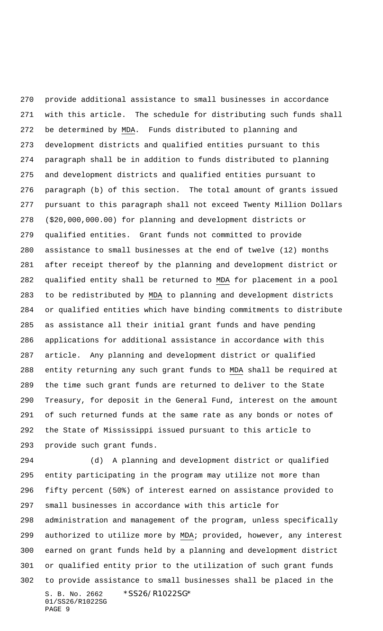provide additional assistance to small businesses in accordance with this article. The schedule for distributing such funds shall be determined by MDA. Funds distributed to planning and development districts and qualified entities pursuant to this paragraph shall be in addition to funds distributed to planning and development districts and qualified entities pursuant to paragraph (b) of this section. The total amount of grants issued pursuant to this paragraph shall not exceed Twenty Million Dollars (\$20,000,000.00) for planning and development districts or qualified entities. Grant funds not committed to provide assistance to small businesses at the end of twelve (12) months after receipt thereof by the planning and development district or qualified entity shall be returned to MDA for placement in a pool to be redistributed by MDA to planning and development districts or qualified entities which have binding commitments to distribute as assistance all their initial grant funds and have pending applications for additional assistance in accordance with this article. Any planning and development district or qualified entity returning any such grant funds to MDA shall be required at the time such grant funds are returned to deliver to the State Treasury, for deposit in the General Fund, interest on the amount of such returned funds at the same rate as any bonds or notes of the State of Mississippi issued pursuant to this article to provide such grant funds.

S. B. No. 2662 \*SS26/R1022SG\* 01/SS26/R1022SG PAGE 9 (d) A planning and development district or qualified entity participating in the program may utilize not more than fifty percent (50%) of interest earned on assistance provided to small businesses in accordance with this article for administration and management of the program, unless specifically authorized to utilize more by MDA; provided, however, any interest earned on grant funds held by a planning and development district or qualified entity prior to the utilization of such grant funds to provide assistance to small businesses shall be placed in the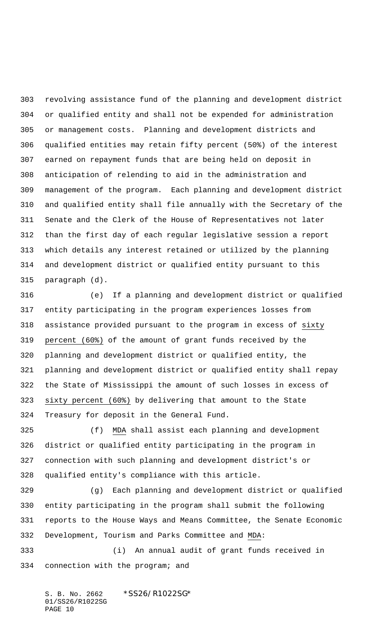revolving assistance fund of the planning and development district or qualified entity and shall not be expended for administration or management costs. Planning and development districts and qualified entities may retain fifty percent (50%) of the interest earned on repayment funds that are being held on deposit in anticipation of relending to aid in the administration and management of the program. Each planning and development district and qualified entity shall file annually with the Secretary of the Senate and the Clerk of the House of Representatives not later than the first day of each regular legislative session a report which details any interest retained or utilized by the planning and development district or qualified entity pursuant to this paragraph (d).

 (e) If a planning and development district or qualified entity participating in the program experiences losses from assistance provided pursuant to the program in excess of sixty percent (60%) of the amount of grant funds received by the planning and development district or qualified entity, the planning and development district or qualified entity shall repay the State of Mississippi the amount of such losses in excess of sixty percent (60%) by delivering that amount to the State Treasury for deposit in the General Fund.

 (f) MDA shall assist each planning and development district or qualified entity participating in the program in connection with such planning and development district's or qualified entity's compliance with this article.

 (g) Each planning and development district or qualified entity participating in the program shall submit the following reports to the House Ways and Means Committee, the Senate Economic Development, Tourism and Parks Committee and MDA:

 (i) An annual audit of grant funds received in connection with the program; and

S. B. No. 2662 \*SS26/R1022SG\* 01/SS26/R1022SG PAGE 10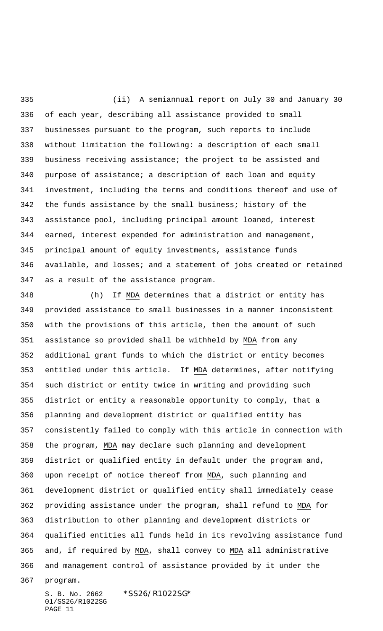(ii) A semiannual report on July 30 and January 30 of each year, describing all assistance provided to small businesses pursuant to the program, such reports to include without limitation the following: a description of each small business receiving assistance; the project to be assisted and purpose of assistance; a description of each loan and equity investment, including the terms and conditions thereof and use of the funds assistance by the small business; history of the assistance pool, including principal amount loaned, interest earned, interest expended for administration and management, principal amount of equity investments, assistance funds available, and losses; and a statement of jobs created or retained as a result of the assistance program.

 (h) If MDA determines that a district or entity has provided assistance to small businesses in a manner inconsistent with the provisions of this article, then the amount of such assistance so provided shall be withheld by MDA from any additional grant funds to which the district or entity becomes entitled under this article. If MDA determines, after notifying such district or entity twice in writing and providing such district or entity a reasonable opportunity to comply, that a planning and development district or qualified entity has consistently failed to comply with this article in connection with the program, MDA may declare such planning and development district or qualified entity in default under the program and, upon receipt of notice thereof from MDA, such planning and development district or qualified entity shall immediately cease providing assistance under the program, shall refund to MDA for distribution to other planning and development districts or qualified entities all funds held in its revolving assistance fund and, if required by MDA, shall convey to MDA all administrative and management control of assistance provided by it under the

program.

S. B. No. 2662 \*SS26/R1022SG\* 01/SS26/R1022SG PAGE 11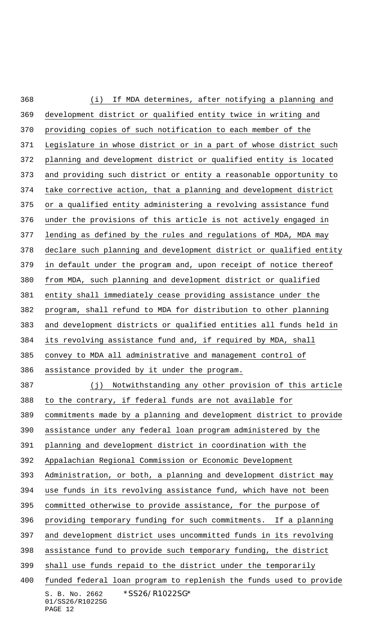S. B. No. 2662 \*SS26/R1022SG\* 01/SS26/R1022SG (i) If MDA determines, after notifying a planning and development district or qualified entity twice in writing and providing copies of such notification to each member of the Legislature in whose district or in a part of whose district such planning and development district or qualified entity is located and providing such district or entity a reasonable opportunity to take corrective action, that a planning and development district or a qualified entity administering a revolving assistance fund under the provisions of this article is not actively engaged in lending as defined by the rules and regulations of MDA, MDA may declare such planning and development district or qualified entity in default under the program and, upon receipt of notice thereof from MDA, such planning and development district or qualified entity shall immediately cease providing assistance under the program, shall refund to MDA for distribution to other planning and development districts or qualified entities all funds held in its revolving assistance fund and, if required by MDA, shall convey to MDA all administrative and management control of assistance provided by it under the program. (j) Notwithstanding any other provision of this article to the contrary, if federal funds are not available for commitments made by a planning and development district to provide assistance under any federal loan program administered by the planning and development district in coordination with the Appalachian Regional Commission or Economic Development Administration, or both, a planning and development district may use funds in its revolving assistance fund, which have not been committed otherwise to provide assistance, for the purpose of providing temporary funding for such commitments. If a planning and development district uses uncommitted funds in its revolving assistance fund to provide such temporary funding, the district shall use funds repaid to the district under the temporarily funded federal loan program to replenish the funds used to provide

## PAGE 12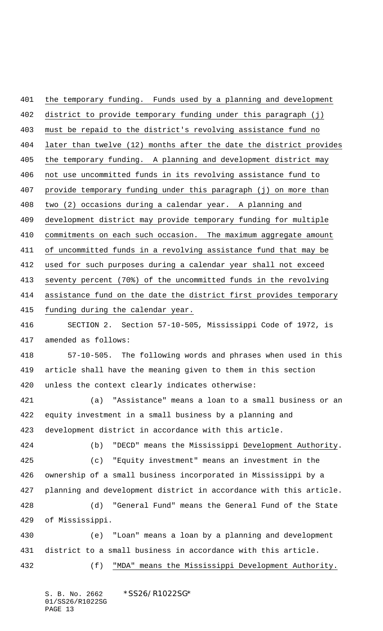the temporary funding. Funds used by a planning and development district to provide temporary funding under this paragraph (j) must be repaid to the district's revolving assistance fund no later than twelve (12) months after the date the district provides the temporary funding. A planning and development district may not use uncommitted funds in its revolving assistance fund to provide temporary funding under this paragraph (j) on more than two (2) occasions during a calendar year. A planning and development district may provide temporary funding for multiple commitments on each such occasion. The maximum aggregate amount of uncommitted funds in a revolving assistance fund that may be used for such purposes during a calendar year shall not exceed seventy percent (70%) of the uncommitted funds in the revolving assistance fund on the date the district first provides temporary funding during the calendar year. SECTION 2. Section 57-10-505, Mississippi Code of 1972, is amended as follows: 57-10-505. The following words and phrases when used in this article shall have the meaning given to them in this section unless the context clearly indicates otherwise: (a) "Assistance" means a loan to a small business or an equity investment in a small business by a planning and development district in accordance with this article. (b) "DECD" means the Mississippi Development Authority. (c) "Equity investment" means an investment in the ownership of a small business incorporated in Mississippi by a planning and development district in accordance with this article. (d) "General Fund" means the General Fund of the State of Mississippi. (e) "Loan" means a loan by a planning and development district to a small business in accordance with this article. (f) "MDA" means the Mississippi Development Authority.

S. B. No. 2662 \*SS26/R1022SG\* 01/SS26/R1022SG PAGE 13